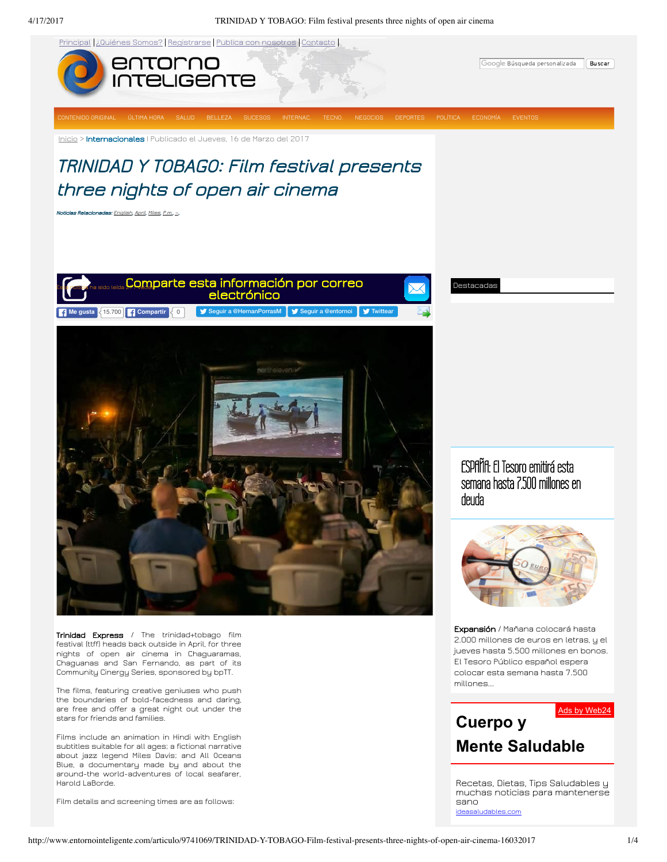4/17/2017 TRINIDAD Y TOBAGO: Film festival presents three nights of open air cinema



[ideasaludables.com](http://ideasaludables.com/)